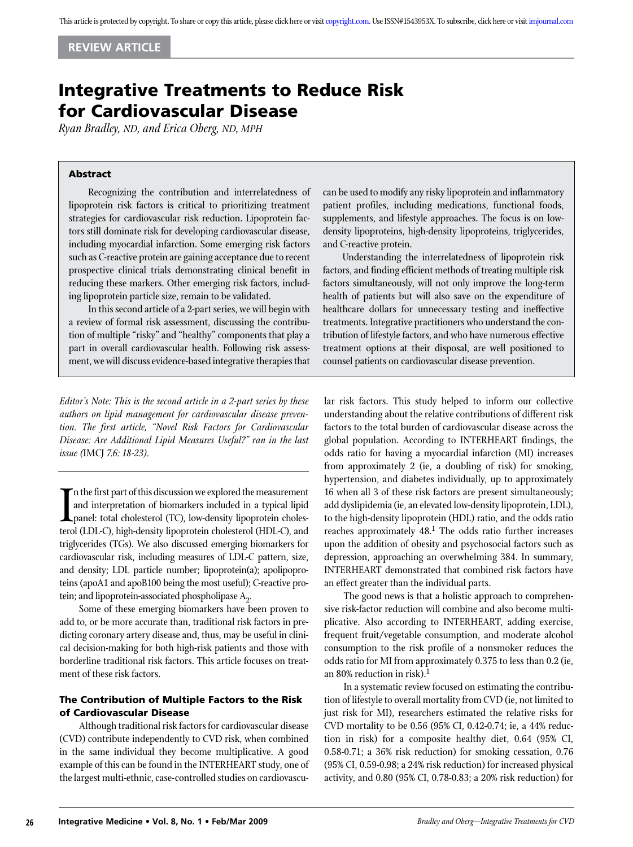# Integrative Treatments to Reduce Risk for Cardiovascular Disease

*Ryan Bradley, ND, and Erica Oberg, ND, MPH*

## Abstract

Recognizing the contribution and interrelatedness of lipoprotein risk factors is critical to prioritizing treatment strategies for cardiovascular risk reduction. Lipoprotein factors still dominate risk for developing cardiovascular disease, including myocardial infarction. Some emerging risk factors such as C-reactive protein are gaining acceptance due to recent prospective clinical trials demonstrating clinical benefit in reducing these markers. Other emerging risk factors, including lipoprotein particle size, remain to be validated.

In this second article of a 2-part series, we will begin with a review of formal risk assessment, discussing the contribution of multiple "risky" and "healthy" components that play a part in overall cardiovascular health. Following risk assessment, we will discuss evidence-based integrative therapies that

*Editor's Note: This is the second article in a 2-part series by these authors on lipid management for cardiovascular disease prevention. The first article, "Novel Risk Factors for Cardiovascular Disease: Are Additional Lipid Measures Useful?" ran in the last issue (*IMCJ *7.6: 18-23).*

In the first part of this discussion we explored the measurement<br>and interpretation of biomarkers included in a typical lipid<br>panel: total cholesterol (TC), low-density lipoprotein cholesterol<br>ferol (LDI-C) high-density li and interpretation of biomarkers included in a typical lipid panel: total cholesterol (TC), low-density lipoprotein cholesterol (LDL-C), high-density lipoprotein cholesterol (HDL-C), and triglycerides (TGs). We also discussed emerging biomarkers for cardiovascular risk, including measures of LDL-C pattern, size, and density; LDL particle number; lipoprotein(a); apolipoproteins (apoA1 and apoB100 being the most useful); C-reactive protein; and lipoprotein-associated phospholipase  $A_2$ .

Some of these emerging biomarkers have been proven to add to, or be more accurate than, traditional risk factors in predicting coronary artery disease and, thus, may be useful in clinical decision-making for both high-risk patients and those with borderline traditional risk factors. This article focuses on treatment of these risk factors.

# The Contribution of Multiple Factors to the Risk of Cardiovascular Disease

Although traditional risk factors for cardiovascular disease (CVD) contribute independently to CVD risk, when combined in the same individual they become multiplicative. A good example of this can be found in the INTERHEART study, one of the largest multi-ethnic, case-controlled studies on cardiovascucan be used to modify any risky lipoprotein and inflammatory patient profiles, including medications, functional foods, supplements, and lifestyle approaches. The focus is on lowdensity lipoproteins, high-density lipoproteins, triglycerides, and C-reactive protein.

Understanding the interrelatedness of lipoprotein risk factors, and finding efficient methods of treating multiple risk factors simultaneously, will not only improve the long-term health of patients but will also save on the expenditure of healthcare dollars for unnecessary testing and ineffective treatments. Integrative practitioners who understand the contribution of lifestyle factors, and who have numerous effective treatment options at their disposal, are well positioned to counsel patients on cardiovascular disease prevention.

lar risk factors. This study helped to inform our collective understanding about the relative contributions of different risk factors to the total burden of cardiovascular disease across the global population. According to INTERHEART findings, the odds ratio for having a myocardial infarction (MI) increases from approximately 2 (ie, a doubling of risk) for smoking, hypertension, and diabetes individually, up to approximately 16 when all 3 of these risk factors are present simultaneously; add dyslipidemia (ie, an elevated low-density lipoprotein, LDL), to the high-density lipoprotein (HDL) ratio, and the odds ratio reaches approximately  $48<sup>1</sup>$ . The odds ratio further increases upon the addition of obesity and psychosocial factors such as depression, approaching an overwhelming 384. In summary, INTERHEART demonstrated that combined risk factors have an effect greater than the individual parts.

The good news is that a holistic approach to comprehensive risk-factor reduction will combine and also become multiplicative. Also according to INTERHEART, adding exercise, frequent fruit/vegetable consumption, and moderate alcohol consumption to the risk profile of a nonsmoker reduces the odds ratio for MI from approximately 0.375 to less than 0.2 (ie, an 80% reduction in risk). $<sup>1</sup>$ </sup>

In a systematic review focused on estimating the contribution of lifestyle to overall mortality from CVD (ie, not limited to just risk for MI), researchers estimated the relative risks for CVD mortality to be 0.56 (95% CI, 0.42-0.74; ie, a 44% reduction in risk) for a composite healthy diet, 0.64 (95% CI, 0.58-0.71; a 36% risk reduction) for smoking cessation, 0.76 (95% CI, 0.59-0.98; a 24% risk reduction) for increased physical activity, and 0.80 (95% CI, 0.78-0.83; a 20% risk reduction) for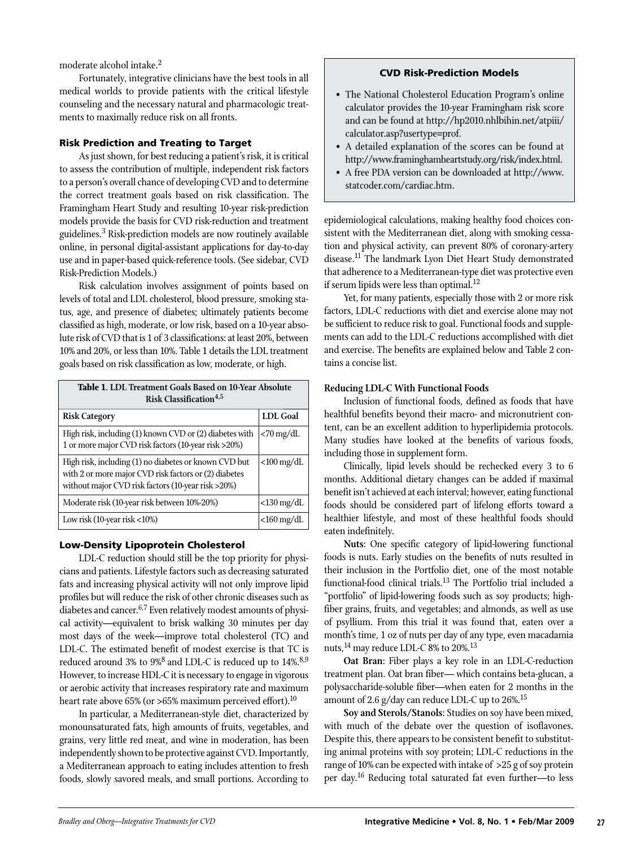moderate alcohol intake.<sup>2</sup>

Fortunately, integrative clinicians have the best tools in all medical worlds to provide patients with the critical lifestyle counseling and the necessary natural and pharmacologic treatments to maximally reduce risk on all fronts.

## Risk Prediction and Treating to Target

As just shown, for best reducing a patient's risk, it is critical to assess the contribution of multiple, independent risk factors to a person's overall chance of developing CVD and to determine the correct treatment goals based on risk classification. The Framingham Heart Study and resulting 10-year risk-prediction models provide the basis for CVD risk-reduction and treatment guidelines.3 Risk-prediction models are now routinely available online, in personal digital-assistant applications for day-to-day use and in paper-based quick-reference tools. (See sidebar, CVD Risk-Prediction Models.)

Risk calculation involves assignment of points based on levels of total and LDL cholesterol, blood pressure, smoking status, age, and presence of diabetes; ultimately patients become classified as high, moderate, or low risk, based on a 10-year absolute risk of CVD that is 1 of 3 classifications: at least 20%, between 10% and 20%, or less than 10%. Table 1 details the LDL treatment goals based on risk classification as low, moderate, or high.

| <b>Table 1. LDL Treatment Goals Based on 10-Year Absolute</b><br>Risk Classification <sup>4,5</sup>                                                                  |                         |  |
|----------------------------------------------------------------------------------------------------------------------------------------------------------------------|-------------------------|--|
| <b>Risk Category</b>                                                                                                                                                 | LDL Goal                |  |
| High risk, including (1) known CVD or (2) diabetes with<br>1 or more major CVD risk factors (10-year risk >20%)                                                      | $< 70 \,\mathrm{mg/dL}$ |  |
| High risk, including (1) no diabetes or known CVD but<br>with 2 or more major CVD risk factors or (2) diabetes<br>without major CVD risk factors (10-year risk >20%) | $<$ 100 mg/dL           |  |
| Moderate risk (10-year risk between 10%-20%)                                                                                                                         | $<$ 130 mg/dL           |  |
| Low risk $(10$ -year risk $<$ 10%)                                                                                                                                   | $<$ 160 mg/dL           |  |

#### Low-Density Lipoprotein Cholesterol

LDL-C reduction should still be the top priority for physicians and patients. Lifestyle factors such as decreasing saturated fats and increasing physical activity will not only improve lipid profiles but will reduce the risk of other chronic diseases such as diabetes and cancer.<sup>6,7</sup> Even relatively modest amounts of physical activity—equivalent to brisk walking 30 minutes per day most days of the week—improve total cholesterol (TC) and LDL-C. The estimated benefit of modest exercise is that TC is reduced around 3% to 9%<sup>8</sup> and LDL-C is reduced up to 14%.<sup>8,9</sup> However, to increase HDL-C it is necessary to engage in vigorous or aerobic activity that increases respiratory rate and maximum heart rate above 65% (or >65% maximum perceived effort).<sup>10</sup>

In particular, a Mediterranean-style diet, characterized by monounsaturated fats, high amounts of fruits, vegetables, and grains, very little red meat, and wine in moderation, has been independently shown to be protective against CVD. Importantly, a Mediterranean approach to eating includes attention to fresh foods, slowly savored meals, and small portions. According to

#### CVD Risk-Prediction Models

- The National Cholesterol Education Program's online calculator provides the 10-year Framingham risk score and can be found at http://hp2010.nhlbihin.net/atpiii/ calculator.asp?usertype=prof.
- A detailed explanation of the scores can be found at http://www.framinghamheartstudy.org/risk/index.html.
- A free PDA version can be downloaded at http://www. statcoder.com/cardiac.htm.

epidemiological calculations, making healthy food choices consistent with the Mediterranean diet, along with smoking cessation and physical activity, can prevent 80% of coronary-artery disease.<sup>11</sup> The landmark Lyon Diet Heart Study demonstrated that adherence to a Mediterranean-type diet was protective even if serum lipids were less than optimal.<sup>12</sup>

Yet, for many patients, especially those with 2 or more risk factors, LDL-C reductions with diet and exercise alone may not be sufficient to reduce risk to goal. Functional foods and supplements can add to the LDL-C reductions accomplished with diet and exercise. The benefits are explained below and Table 2 contains a concise list.

#### **Reducing LDL-C With Functional Foods**

Inclusion of functional foods, defined as foods that have healthful benefits beyond their macro- and micronutrient content, can be an excellent addition to hyperlipidemia protocols. Many studies have looked at the benefits of various foods, including those in supplement form.

Clinically, lipid levels should be rechecked every 3 to 6 months. Additional dietary changes can be added if maximal benefit isn't achieved at each interval; however, eating functional foods should be considered part of lifelong efforts toward a healthier lifestyle, and most of these healthful foods should eaten indefinitely.

**Nuts**: One specific category of lipid-lowering functional foods is nuts. Early studies on the benefits of nuts resulted in their inclusion in the Portfolio diet, one of the most notable functional-food clinical trials.<sup>13</sup> The Portfolio trial included a "portfolio" of lipid-lowering foods such as soy products; highfiber grains, fruits, and vegetables; and almonds, as well as use of psyllium. From this trial it was found that, eaten over a month's time, 1 oz of nuts per day of any type, even macadamia nuts, <sup>14</sup> may reduce LDL-C 8% to 20%.<sup>13</sup>

**Oat Bran**: Fiber plays a key role in an LDL-C-reduction treatment plan. Oat bran fiber— which contains beta-glucan, a polysaccharide-soluble fiber—when eaten for 2 months in the amount of 2.6 g/day can reduce LDL-C up to 26%.<sup>15</sup>

**Soy and Sterols/Stanols**: Studies on soy have been mixed, with much of the debate over the question of isoflavones. Despite this, there appears to be consistent benefit to substituting animal proteins with soy protein; LDL-C reductions in the range of 10% can be expected with intake of >25 g of soy protein per day.16 Reducing total saturated fat even further—to less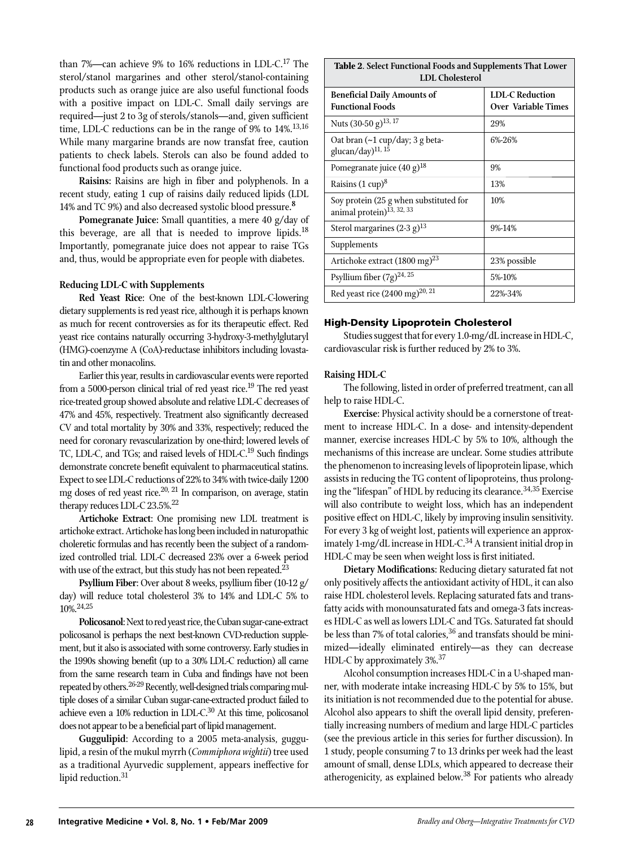than 7%—can achieve 9% to 16% reductions in LDL-C.17 The sterol/stanol margarines and other sterol/stanol-containing products such as orange juice are also useful functional foods with a positive impact on LDL-C. Small daily servings are required—just 2 to 3g of sterols/stanols—and, given sufficient time, LDL-C reductions can be in the range of  $9\%$  to  $14\%$ .<sup>13,16</sup> While many margarine brands are now transfat free, caution patients to check labels. Sterols can also be found added to functional food products such as orange juice.

**Raisins:** Raisins are high in fiber and polyphenols. In a recent study, eating 1 cup of raisins daily reduced lipids (LDL 14% and TC 9%) and also decreased systolic blood pressure**. 8**

**Pomegranate Juice:** Small quantities, a mere 40 g/day of this beverage, are all that is needed to improve lipids.<sup>18</sup> Importantly, pomegranate juice does not appear to raise TGs and, thus, would be appropriate even for people with diabetes.

#### **Reducing LDL-C with Supplements**

**Red Yeast Rice**: One of the best-known LDL-C-lowering dietary supplements is red yeast rice, although it is perhaps known as much for recent controversies as for its therapeutic effect. Red yeast rice contains naturally occurring 3-hydroxy-3-methylglutaryl (HMG)-coenzyme A (CoA)-reductase inhibitors including lovastatin and other monacolins.

Earlier this year, results in cardiovascular events were reported from a 5000-person clinical trial of red yeast rice.<sup>19</sup> The red yeast rice-treated group showed absolute and relative LDL-C decreases of 47% and 45%, respectively. Treatment also significantly decreased CV and total mortality by 30% and 33%, respectively; reduced the need for coronary revascularization by one-third; lowered levels of TC, LDL-C, and TGs; and raised levels of HDL-C.<sup>19</sup> Such findings demonstrate concrete benefit equivalent to pharmaceutical statins. Expect to see LDL-C reductions of 22% to 34% with twice-daily 1200 mg doses of red yeast rice. $20$ ,  $21$  In comparison, on average, statin therapy reduces LDL-C  $23.5\%$ <sup>22</sup>

**Artichoke Extract**: One promising new LDL treatment is artichoke extract. Artichoke has long been included in naturopathic choleretic formulas and has recently been the subject of a randomized controlled trial. LDL-C decreased 23% over a 6-week period with use of the extract, but this study has not been repeated. $^{23}$ 

**Psyllium Fiber**: Over about 8 weeks, psyllium fiber (10-12 g/ day) will reduce total cholesterol 3% to 14% and LDL-C 5% to 10%.24,25

**Policosanol**: Next to red yeast rice, the Cuban sugar-cane-extract policosanol is perhaps the next best-known CVD-reduction supplement, but it also is associated with some controversy. Early studies in the 1990s showing benefit (up to a 30% LDL-C reduction) all came from the same research team in Cuba and findings have not been repeated by others.<sup>26-29</sup> Recently, well-designed trials comparing multiple doses of a similar Cuban sugar-cane-extracted product failed to achieve even a 10% reduction in LDL-C.30 At this time, policosanol does not appear to be a beneficial part of lipid management.

**Guggulipid**: According to a 2005 meta-analysis, guggulipid, a resin of the mukul myrrh (*Commiphora wightii*) tree used as a traditional Ayurvedic supplement, appears ineffective for lipid reduction.<sup>31</sup>

| Table 2. Select Functional Foods and Supplements That Lower<br><b>LDL</b> Cholesterol |                                                      |
|---------------------------------------------------------------------------------------|------------------------------------------------------|
| <b>Beneficial Daily Amounts of</b><br><b>Functional Foods</b>                         | <b>LDL-C Reduction</b><br><b>Over Variable Times</b> |
| Nuts (30-50 g) <sup>13, 17</sup>                                                      | 29%                                                  |
| Oat bran $(\sim 1$ cup/day; 3 g beta-<br>glucan/day) <sup>11, 15</sup>                | 6%-26%                                               |
| Pomegranate juice (40 g) <sup>18</sup>                                                | 9%                                                   |
| Raisins (1 cup) <sup>8</sup>                                                          | 13%                                                  |
| Soy protein (25 g when substituted for<br>animal protein) <sup>13, 32, 33</sup>       | 10%                                                  |
| Sterol margarines $(2-3 g)^{13}$                                                      | 9%-14%                                               |
| Supplements                                                                           |                                                      |
| Artichoke extract (1800 mg) <sup>23</sup>                                             | 23% possible                                         |
| Psyllium fiber (7g) <sup>24, 25</sup>                                                 | 5%-10%                                               |
| Red yeast rice $(2400 \text{ mg})^{20, 21}$                                           | 22%-34%                                              |

# High-Density Lipoprotein Cholesterol

Studies suggest that for every 1.0-mg/dL increase in HDL-C, cardiovascular risk is further reduced by 2% to 3%.

#### **Raising HDL-C**

The following, listed in order of preferred treatment, can all help to raise HDL-C.

**Exercise**: Physical activity should be a cornerstone of treatment to increase HDL-C. In a dose- and intensity-dependent manner, exercise increases HDL-C by 5% to 10%, although the mechanisms of this increase are unclear. Some studies attribute the phenomenon to increasing levels of lipoprotein lipase, which assists in reducing the TG content of lipoproteins, thus prolonging the "lifespan" of HDL by reducing its clearance.<sup>34,35</sup> Exercise will also contribute to weight loss, which has an independent positive effect on HDL-C, likely by improving insulin sensitivity. For every 3 kg of weight lost, patients will experience an approximately 1-mg/dL increase in HDL-C. $34$  A transient initial drop in HDL-C may be seen when weight loss is first initiated.

**Dietary Modifications**: Reducing dietary saturated fat not only positively affects the antioxidant activity of HDL, it can also raise HDL cholesterol levels. Replacing saturated fats and transfatty acids with monounsaturated fats and omega-3 fats increases HDL-C as well as lowers LDL-C and TGs. Saturated fat should be less than 7% of total calories,  $36$  and transfats should be minimized—ideally eliminated entirely—as they can decrease HDL-C by approximately 3%.<sup>37</sup>

Alcohol consumption increases HDL-C in a U-shaped manner, with moderate intake increasing HDL-C by 5% to 15%, but its initiation is not recommended due to the potential for abuse. Alcohol also appears to shift the overall lipid density, preferentially increasing numbers of medium and large HDL-C particles (see the previous article in this series for further discussion). In 1 study, people consuming 7 to 13 drinks per week had the least amount of small, dense LDLs, which appeared to decrease their atherogenicity, as explained below.<sup>38</sup> For patients who already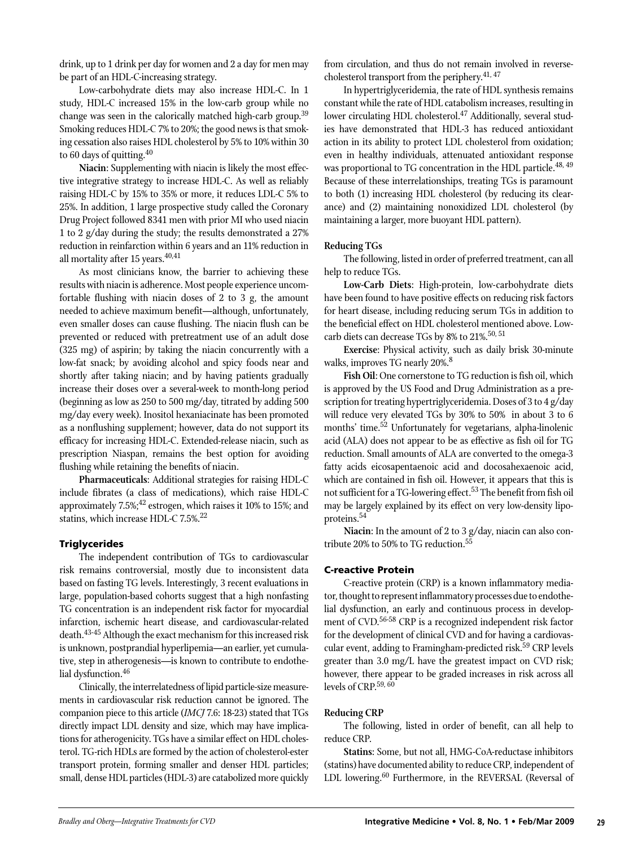drink, up to 1 drink per day for women and 2 a day for men may be part of an HDL-C-increasing strategy.

Low-carbohydrate diets may also increase HDL-C. In 1 study, HDL-C increased 15% in the low-carb group while no change was seen in the calorically matched high-carb group.<sup>39</sup> Smoking reduces HDL-C 7% to 20%; the good news is that smoking cessation also raises HDL cholesterol by 5% to 10% within 30 to 60 days of quitting.  $40^{\circ}$ 

**Niacin**: Supplementing with niacin is likely the most effective integrative strategy to increase HDL-C. As well as reliably raising HDL-C by 15% to 35% or more, it reduces LDL-C 5% to 25%. In addition, 1 large prospective study called the Coronary Drug Project followed 8341 men with prior MI who used niacin 1 to 2 g/day during the study; the results demonstrated a 27% reduction in reinfarction within 6 years and an 11% reduction in all mortality after 15 years. $40,41$ 

As most clinicians know, the barrier to achieving these results with niacin is adherence. Most people experience uncomfortable flushing with niacin doses of 2 to 3 g, the amount needed to achieve maximum benefit—although, unfortunately, even smaller doses can cause flushing. The niacin flush can be prevented or reduced with pretreatment use of an adult dose (325 mg) of aspirin; by taking the niacin concurrently with a low-fat snack; by avoiding alcohol and spicy foods near and shortly after taking niacin; and by having patients gradually increase their doses over a several-week to month-long period (beginning as low as 250 to 500 mg/day, titrated by adding 500 mg/day every week). Inositol hexaniacinate has been promoted as a nonflushing supplement; however, data do not support its efficacy for increasing HDL-C. Extended-release niacin, such as prescription Niaspan, remains the best option for avoiding flushing while retaining the benefits of niacin.

**Pharmaceuticals**: Additional strategies for raising HDL-C include fibrates (a class of medications), which raise HDL-C approximately  $7.5\%$ ;<sup>42</sup> estrogen, which raises it 10% to 15%; and statins, which increase HDL-C 7.5%.<sup>22</sup>

#### **Triglycerides**

The independent contribution of TGs to cardiovascular risk remains controversial, mostly due to inconsistent data based on fasting TG levels. Interestingly, 3 recent evaluations in large, population-based cohorts suggest that a high nonfasting TG concentration is an independent risk factor for myocardial infarction, ischemic heart disease, and cardiovascular-related death.<sup>43-45</sup> Although the exact mechanism for this increased risk is unknown, postprandial hyperlipemia—an earlier, yet cumulative, step in atherogenesis—is known to contribute to endothelial dysfunction.<sup>46</sup>

Clinically, the interrelatedness of lipid particle-size measurements in cardiovascular risk reduction cannot be ignored. The companion piece to this article (*IMCJ* 7.6: 18-23) stated that TGs directly impact LDL density and size, which may have implications for atherogenicity. TGs have a similar effect on HDL cholesterol. TG-rich HDLs are formed by the action of cholesterol-ester transport protein, forming smaller and denser HDL particles; small, dense HDL particles (HDL-3) are catabolized more quickly

from circulation, and thus do not remain involved in reversecholesterol transport from the periphery. $41, 47$ 

In hypertriglyceridemia, the rate of HDL synthesis remains constant while the rate of HDL catabolism increases, resulting in lower circulating HDL cholesterol.<sup>47</sup> Additionally, several studies have demonstrated that HDL-3 has reduced antioxidant action in its ability to protect LDL cholesterol from oxidation; even in healthy individuals, attenuated antioxidant response was proportional to TG concentration in the HDL particle.<sup>48, 49</sup> Because of these interrelationships, treating TGs is paramount to both (1) increasing HDL cholesterol (by reducing its clearance) and (2) maintaining nonoxidized LDL cholesterol (by maintaining a larger, more buoyant HDL pattern).

#### **Reducing TGs**

The following, listed in order of preferred treatment, can all help to reduce TGs.

**Low-Carb Diets**: High-protein, low-carbohydrate diets have been found to have positive effects on reducing risk factors for heart disease, including reducing serum TGs in addition to the beneficial effect on HDL cholesterol mentioned above. Lowcarb diets can decrease TGs by 8% to 21%.<sup>50, 51</sup>

**Exercise**: Physical activity, such as daily brisk 30-minute walks, improves TG nearly 20%.<sup>8</sup>

**Fish Oil**: One cornerstone to TG reduction is fish oil, which is approved by the US Food and Drug Administration as a prescription for treating hypertriglyceridemia. Doses of 3 to 4 g/day will reduce very elevated TGs by 30% to 50% in about 3 to 6 months' time.<sup>52</sup> Unfortunately for vegetarians, alpha-linolenic acid (ALA) does not appear to be as effective as fish oil for TG reduction. Small amounts of ALA are converted to the omega-3 fatty acids eicosapentaenoic acid and docosahexaenoic acid, which are contained in fish oil. However, it appears that this is not sufficient for a TG-lowering effect.<sup>53</sup> The benefit from fish oil may be largely explained by its effect on very low-density lipoproteins.<sup>54</sup>

**Niacin**: In the amount of 2 to 3 g/day, niacin can also contribute 20% to 50% to TG reduction.<sup>55</sup>

#### C-reactive Protein

C-reactive protein (CRP) is a known inflammatory mediator, thought to represent inflammatory processes due to endothelial dysfunction, an early and continuous process in development of CVD.<sup>56-58</sup> CRP is a recognized independent risk factor for the development of clinical CVD and for having a cardiovascular event, adding to Framingham-predicted risk.<sup>59</sup> CRP levels greater than 3.0 mg/L have the greatest impact on CVD risk; however, there appear to be graded increases in risk across all levels of CRP.59, 60

#### **Reducing CRP**

The following, listed in order of benefit, can all help to reduce CRP.

**Statins**: Some, but not all, HMG-CoA-reductase inhibitors (statins) have documented ability to reduce CRP, independent of LDL lowering.<sup>60</sup> Furthermore, in the REVERSAL (Reversal of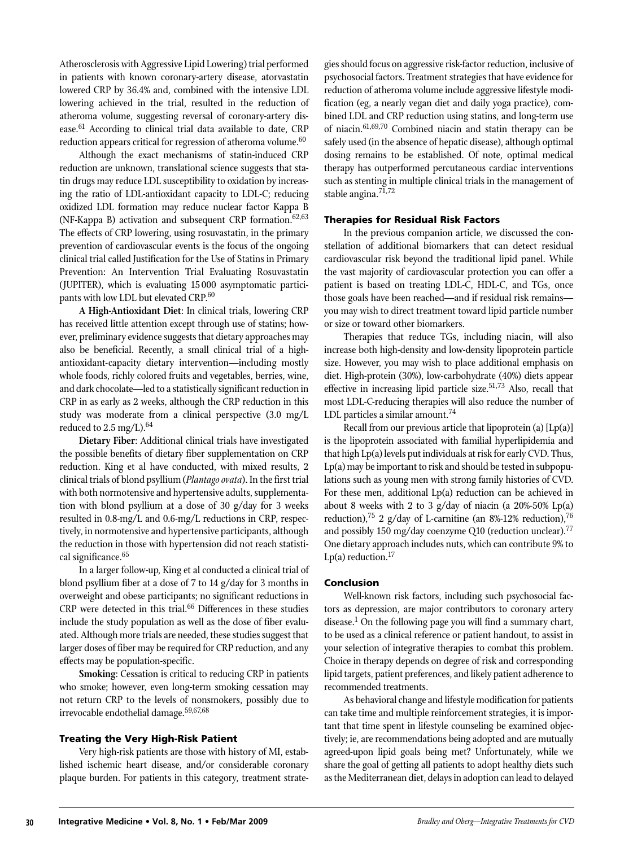Atherosclerosis with Aggressive Lipid Lowering) trial performed in patients with known coronary-artery disease, atorvastatin lowered CRP by 36.4% and, combined with the intensive LDL lowering achieved in the trial, resulted in the reduction of atheroma volume, suggesting reversal of coronary-artery disease.<sup>61</sup> According to clinical trial data available to date, CRP reduction appears critical for regression of atheroma volume.<sup>60</sup>

Although the exact mechanisms of statin-induced CRP reduction are unknown, translational science suggests that statin drugs may reduce LDL susceptibility to oxidation by increasing the ratio of LDL-antioxidant capacity to LDL-C; reducing oxidized LDL formation may reduce nuclear factor Kappa B (NF-Kappa B) activation and subsequent CRP formation. $62,63$ The effects of CRP lowering, using rosuvastatin, in the primary prevention of cardiovascular events is the focus of the ongoing clinical trial called Justification for the Use of Statins in Primary Prevention: An Intervention Trial Evaluating Rosuvastatin (JUPITER), which is evaluating 15 000 asymptomatic participants with low LDL but elevated CRP.<sup>60</sup>

**A High-Antioxidant Diet**: In clinical trials, lowering CRP has received little attention except through use of statins; however, preliminary evidence suggests that dietary approaches may also be beneficial. Recently, a small clinical trial of a highantioxidant-capacity dietary intervention—including mostly whole foods, richly colored fruits and vegetables, berries, wine, and dark chocolate—led to a statistically significant reduction in CRP in as early as 2 weeks, although the CRP reduction in this study was moderate from a clinical perspective (3.0 mg/L reduced to  $2.5 \text{ mg/L}.^{64}$ 

**Dietary Fiber**: Additional clinical trials have investigated the possible benefits of dietary fiber supplementation on CRP reduction. King et al have conducted, with mixed results, 2 clinical trials of blond psyllium (*Plantago ovata*). In the first trial with both normotensive and hypertensive adults, supplementation with blond psyllium at a dose of 30 g/day for 3 weeks resulted in 0.8-mg/L and 0.6-mg/L reductions in CRP, respectively, in normotensive and hypertensive participants, although the reduction in those with hypertension did not reach statistical significance.<sup>65</sup>

In a larger follow-up, King et al conducted a clinical trial of blond psyllium fiber at a dose of 7 to 14 g/day for 3 months in overweight and obese participants; no significant reductions in  $CRP$  were detected in this trial.<sup>66</sup> Differences in these studies include the study population as well as the dose of fiber evaluated. Although more trials are needed, these studies suggest that larger doses of fiber may be required for CRP reduction, and any effects may be population-specific.

**Smoking**: Cessation is critical to reducing CRP in patients who smoke; however, even long-term smoking cessation may not return CRP to the levels of nonsmokers, possibly due to irrevocable endothelial damage.59,67,68

#### Treating the Very High-Risk Patient

Very high-risk patients are those with history of MI, established ischemic heart disease, and/or considerable coronary plaque burden. For patients in this category, treatment strategies should focus on aggressive risk-factor reduction, inclusive of psychosocial factors. Treatment strategies that have evidence for reduction of atheroma volume include aggressive lifestyle modification (eg, a nearly vegan diet and daily yoga practice), combined LDL and CRP reduction using statins, and long-term use of niacin.<sup>61,69,70</sup> Combined niacin and statin therapy can be safely used (in the absence of hepatic disease), although optimal dosing remains to be established. Of note, optimal medical therapy has outperformed percutaneous cardiac interventions such as stenting in multiple clinical trials in the management of stable angina.<sup>71,72</sup>

#### Therapies for Residual Risk Factors

In the previous companion article, we discussed the constellation of additional biomarkers that can detect residual cardiovascular risk beyond the traditional lipid panel. While the vast majority of cardiovascular protection you can offer a patient is based on treating LDL-C, HDL-C, and TGs, once those goals have been reached—and if residual risk remains you may wish to direct treatment toward lipid particle number or size or toward other biomarkers.

Therapies that reduce TGs, including niacin, will also increase both high-density and low-density lipoprotein particle size. However, you may wish to place additional emphasis on diet. High-protein (30%), low-carbohydrate (40%) diets appear effective in increasing lipid particle size. $51,73$  Also, recall that most LDL-C-reducing therapies will also reduce the number of LDL particles a similar amount.<sup>74</sup>

Recall from our previous article that lipoprotein (a) [Lp(a)] is the lipoprotein associated with familial hyperlipidemia and that high Lp(a) levels put individuals at risk for early CVD. Thus, Lp(a) may be important to risk and should be tested in subpopulations such as young men with strong family histories of CVD. For these men, additional Lp(a) reduction can be achieved in about 8 weeks with 2 to 3  $g/day$  of niacin (a 20%-50% Lp(a) reduction),<sup>75</sup> 2 g/day of L-carnitine (an 8%-12% reduction),<sup>76</sup> and possibly 150 mg/day coenzyme Q10 (reduction unclear).<sup>77</sup> One dietary approach includes nuts, which can contribute 9% to Lp(a) reduction. $17$ 

#### Conclusion

Well-known risk factors, including such psychosocial factors as depression, are major contributors to coronary artery disease.<sup>1</sup> On the following page you will find a summary chart, to be used as a clinical reference or patient handout, to assist in your selection of integrative therapies to combat this problem. Choice in therapy depends on degree of risk and corresponding lipid targets, patient preferences, and likely patient adherence to recommended treatments.

As behavioral change and lifestyle modification for patients can take time and multiple reinforcement strategies, it is important that time spent in lifestyle counseling be examined objectively; ie, are recommendations being adopted and are mutually agreed-upon lipid goals being met? Unfortunately, while we share the goal of getting all patients to adopt healthy diets such as the Mediterranean diet, delays in adoption can lead to delayed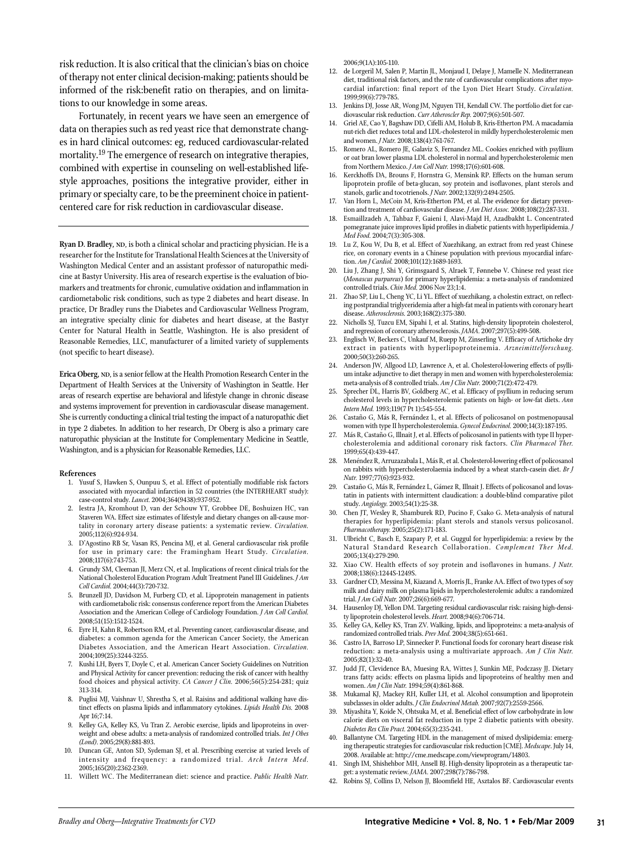risk reduction. It is also critical that the clinician's bias on choice of therapy not enter clinical decision-making; patients should be informed of the risk:benefit ratio on therapies, and on limitations to our knowledge in some areas.

Fortunately, in recent years we have seen an emergence of data on therapies such as red yeast rice that demonstrate changes in hard clinical outcomes: eg, reduced cardiovascular-related mortality.<sup>19</sup> The emergence of research on integrative therapies, combined with expertise in counseling on well-established lifestyle approaches, positions the integrative provider, either in primary or specialty care, to be the preeminent choice in patientcentered care for risk reduction in cardiovascular disease.

**Ryan D. Bradley, ND**, is both a clinical scholar and practicing physician. He is a researcher for the Institute for Translational Health Sciences at the University of Washington Medical Center and an assistant professor of naturopathic medicine at Bastyr University. His area of research expertise is the evaluation of biomarkers and treatments for chronic, cumulative oxidation and inflammation in cardiometabolic risk conditions, such as type 2 diabetes and heart disease. In practice, Dr Bradley runs the Diabetes and Cardiovascular Wellness Program, an integrative specialty clinic for diabetes and heart disease, at the Bastyr Center for Natural Health in Seattle, Washington. He is also president of Reasonable Remedies, LLC, manufacturer of a limited variety of supplements (not specific to heart disease).

**Erica Oberg, ND**, is a senior fellow at the Health Promotion Research Center in the Department of Health Services at the University of Washington in Seattle. Her areas of research expertise are behavioral and lifestyle change in chronic disease and systems improvement for prevention in cardiovascular disease management. She is currently conducting a clinical trial testing the impact of a naturopathic diet in type 2 diabetes. In addition to her research, Dr Oberg is also a primary care naturopathic physician at the Institute for Complementary Medicine in Seattle, Washington, and is a physician for Reasonable Remedies, LLC.

#### **References**

- 1. Yusuf S, Hawken S, Ounpuu S, et al. Effect of potentially modifiable risk factors associated with myocardial infarction in 52 countries (the INTERHEART study): case-control study. *Lancet.* 2004;364(9438):937-952.
- 2. Iestra JA, Kromhout D, van der Schouw YT, Grobbee DE, Boshuizen HC, van Staveren WA. Effect size estimates of lifestyle and dietary changes on all-cause mortality in coronary artery disease patients: a systematic review. *Circulation.*  2005;112(6):924-934.
- 3. D'Agostino RB Sr, Vasan RS, Pencina MJ, et al. General cardiovascular risk profile for use in primary care: the Framingham Heart Study. *Circulation.*  2008;117(6):743-753.
- 4. Grundy SM, Cleeman JI, Merz CN, et al. Implications of recent clinical trials for the National Cholesterol Education Program Adult Treatment Panel III Guidelines. *J Am Coll Cardiol.* 2004;44(3):720-732.
- 5. Brunzell JD, Davidson M, Furberg CD, et al. Lipoprotein management in patients with cardiometabolic risk: consensus conference report from the American Diabetes Association and the American College of Cardiology Foundation. *J Am Coll Cardiol.*  2008;51(15):1512-1524.
- 6. Eyre H, Kahn R, Robertson RM, et al. Preventing cancer, cardiovascular disease, and diabetes: a common agenda for the American Cancer Society, the American Diabetes Association, and the American Heart Association. *Circulation.*  2004;109(25):3244-3255.
- 7. Kushi LH, Byers T, Doyle C, et al. American Cancer Society Guidelines on Nutrition and Physical Activity for cancer prevention: reducing the risk of cancer with healthy food choices and physical activity. *CA Cancer J Clin.* 2006;56(5):254-281; quiz 313-314.
- 8. Puglisi MJ, Vaishnav U, Shrestha S, et al. Raisins and additional walking have distinct effects on plasma lipids and inflammatory cytokines. *Lipids Health Dis.* 2008 Apr 16;7:14.
- 9. Kelley GA, Kelley KS, Vu Tran Z. Aerobic exercise, lipids and lipoproteins in overweight and obese adults: a meta-analysis of randomized controlled trials. *Int J Obes (Lond).* 2005;29(8):881-893.
- 10. Duncan GE, Anton SD, Sydeman SJ, et al. Prescribing exercise at varied levels of intensity and frequency: a randomized trial. Arch Intern Med. 2005;165(20):2362-2369.
- 11. Willett WC. The Mediterranean diet: science and practice. *Public Health Nutr.*

2006;9(1A):105-110.

- 12. de Lorgeril M, Salen P, Martin JL, Monjaud I, Delaye J, Mamelle N. Mediterranean diet, traditional risk factors, and the rate of cardiovascular complications after myocardial infarction: final report of the Lyon Diet Heart Study. *Circulation.*  1999;99(6):779-785.
- 13. Jenkins DJ, Josse AR, Wong JM, Nguyen TH, Kendall CW. The portfolio diet for cardiovascular risk reduction. *Curr Atheroscler Rep.* 2007;9(6):501-507.
- 14. Griel AE, Cao Y, Bagshaw DD, Cifelli AM, Holub B, Kris-Etherton PM. A macadamia nut-rich diet reduces total and LDL-cholesterol in mildly hypercholesterolemic men and women. *J Nutr.* 2008;138(4):761-767.
- 15. Romero AL, Romero JE, Galaviz S, Fernandez ML. Cookies enriched with psyllium or oat bran lower plasma LDL cholesterol in normal and hypercholesterolemic men from Northern Mexico. *J Am Coll Nutr.* 1998;17(6):601-608.
- 16. Kerckhoffs DA, Brouns F, Hornstra G, Mensink RP. Effects on the human serum lipoprotein profile of beta-glucan, soy protein and isoflavones, plant sterols and stanols, garlic and tocotrienols. *J Nutr.* 2002;132(9):2494-2505.
- 17. Van Horn L, McCoin M, Kris-Etherton PM, et al. The evidence for dietary prevention and treatment of cardiovascular disease. *J Am Diet Assoc.* 2008;108(2):287-331.
- 18. Esmaillzadeh A, Tahbaz F, Gaieni I, Alavi-Majd H, Azadbakht L. Concentrated pomegranate juice improves lipid profiles in diabetic patients with hyperlipidemia. *J Med Food.* 2004;7(3):305-308.
- 19. Lu Z, Kou W, Du B, et al. Effect of Xuezhikang, an extract from red yeast Chinese rice, on coronary events in a Chinese population with previous myocardial infarction. *Am J Cardiol.* 2008;101(12):1689-1693.
- 20. Liu J, Zhang J, Shi Y, Grimsgaard S, Alraek T, Fønnebø V. Chinese red yeast rice (*Monascus purpureus*) for primary hyperlipidemia: a meta-analysis of randomized controlled trials. *Chin Med.* 2006 Nov 23;1:4.
- 21. Zhao SP, Liu L, Cheng YC, Li YL. Effect of xuezhikang, a cholestin extract, on reflecting postprandial triglyceridemia after a high-fat meal in patients with coronary heart disease. *Atherosclerosis.* 2003;168(2):375-380.
- 22. Nicholls SJ, Tuzcu EM, Sipahi I, et al. Statins, high-density lipoprotein cholesterol, and regression of coronary atherosclerosis. *JAMA.* 2007;297(5):499-508.
- 23. Englisch W, Beckers C, Unkauf M, Ruepp M, Zinserling V. Efficacy of Artichoke dry extract in patients with hyperlipoproteinemia. *Arzneimittelforschung.*  2000;50(3):260-265.
- 24. Anderson JW, Allgood LD, Lawrence A, et al. Cholesterol-lowering effects of psyllium intake adjunctive to diet therapy in men and women with hypercholesterolemia: meta-analysis of 8 controlled trials. *Am J Clin Nutr.* 2000;71(2):472-479.
- Sprecher DL, Harris BV, Goldberg AC, et al. Efficacy of psyllium in reducing serum cholesterol levels in hypercholesterolemic patients on high- or low-fat diets. *Ann Intern Med.* 1993;119(7 Pt 1):545-554.
- 26. Castaño G, Más R, Fernández L, et al. Effects of policosanol on postmenopausal women with type II hypercholesterolemia. *Gynecol Endocrinol.* 2000;14(3):187-195.
- 27. Más R, Castaño G, Illnait J, et al. Effects of policosanol in patients with type II hypercholesterolemia and additional coronary risk factors. *Clin Pharmacol Ther.*  1999;65(4):439-447.
- 28. Menéndez R, Arruzazabala L, Más R, et al. Cholesterol-lowering effect of policosanol on rabbits with hypercholesterolaemia induced by a wheat starch-casein diet. *Br J Nutr.* 1997;77(6):923-932.
- 29. Castaño G, Más R, Fernández L, Gámez R, Illnait J. Effects of policosanol and lovastatin in patients with intermittent claudication: a double-blind comparative pilot study. *Angiology.* 2003;54(1):25-38.
- 30. Chen JT, Wesley R, Shamburek RD, Pucino F, Csako G. Meta-analysis of natural therapies for hyperlipidemia: plant sterols and stanols versus policosanol. *Pharmacotherapy.* 2005;25(2):171-183.
- 31. Ulbricht C, Basch E, Szapary P, et al. Guggul for hyperlipidemia: a review by the Natural Standard Research Collaboration. *Complement Ther Med.*  2005;13(4):279-290.
- 32. Xiao CW. Health effects of soy protein and isoflavones in humans. *J Nutr.*  2008;138(6):1244S-1249S.
- 33. Gardner CD, Messina M, Kiazand A, Morris JL, Franke AA. Effect of two types of soy milk and dairy milk on plasma lipids in hypercholesterolemic adults: a randomized trial. *J Am Coll Nutr.* 2007;26(6):669-677.
- 34. Hausenloy DJ, Yellon DM. Targeting residual cardiovascular risk: raising high-density lipoprotein cholesterol levels. *Heart.* 2008;94(6):706-714.
- 35. Kelley GA, Kelley KS, Tran ZV. Walking, lipids, and lipoproteins: a meta-analysis of randomized controlled trials. *Prev Med.* 2004;38(5):651-661.
- 36. Castro IA, Barroso LP, Sinnecker P. Functional foods for coronary heart disease risk reduction: a meta-analysis using a multivariate approach. *Am J Clin Nutr.*  2005;82(1):32-40.
- 37. Judd JT, Clevidence BA, Muesing RA, Wittes J, Sunkin ME, Podczasy JJ. Dietary trans fatty acids: effects on plasma lipids and lipoproteins of healthy men and women. *Am J Clin Nutr.* 1994;59(4):861-868.
- 38. Mukamal KJ, Mackey RH, Kuller LH, et al. Alcohol consumption and lipoprotein subclasses in older adults. *J Clin Endocrinol Metab.* 2007;92(7):2559-2566.
- 39. Miyashita Y, Koide N, Ohtsuka M, et al. Beneficial effect of low carbohydrate in low calorie diets on visceral fat reduction in type 2 diabetic patients with obesity. *Diabetes Res Clin Pract.* 2004;65(3):235-241.
- 40. Ballantyne CM. Targeting HDL in the management of mixed dyslipidemia: emerging therapeutic strategies for cardiovascular risk reduction [CME]. *Medscape*. July 14, 2008. Available at: http://cme.medscape.com/viewprogram/14803.
- 41. Singh IM, Shishehbor MH, Ansell BJ. High-density lipoprotein as a therapeutic target: a systematic review. *JAMA.* 2007;298(7):786-798.
- 42. Robins SJ, Collins D, Nelson JJ, Bloomfield HE, Asztalos BF. Cardiovascular events